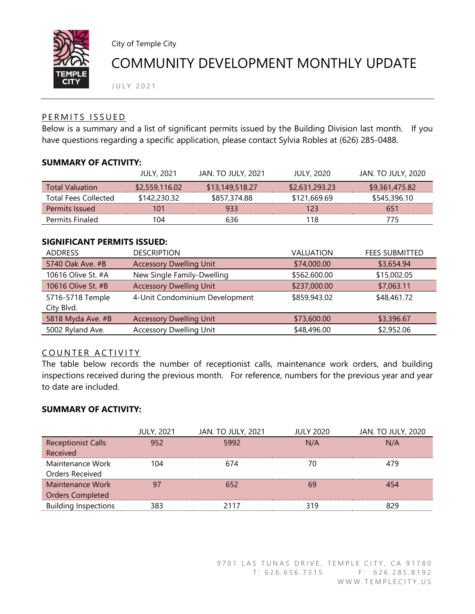

City of Temple City

# COMMUNITY DEVELOPMENT MONTHLY UPDATE

J U L Y 2021

## PERMITS ISSUED

Below is a summary and a list of significant permits issued by the Building Division last month. If you have questions regarding a specific application, please contact Sylvia Robles at (626) 285-0488.

### **SUMMARY OF ACTIVITY:**

|                             | <b>JULY, 2021</b> | <b>JAN. TO JULY, 2021</b> | <b>JULY, 2020</b> | <b>JAN. TO JULY, 2020</b> |
|-----------------------------|-------------------|---------------------------|-------------------|---------------------------|
| <b>Total Valuation</b>      | \$2,559,116.02    | \$13,149,518,27           | \$2,631,293.23    | \$9,361,475.82            |
| <b>Total Fees Collected</b> | \$142,230.32      | \$857,374.88              | \$121,669.69      | \$545,396.10              |
| Permits Issued              | 101               | 933                       | 123               | 651                       |
| <b>Permits Finaled</b>      | 104               | 636                       | 118               | 775                       |

#### **SIGNIFICANT PERMITS ISSUED:**

| <b>DESCRIPTION</b>             | <b>VALUATION</b> | <b>FEES SUBMITTED</b> |
|--------------------------------|------------------|-----------------------|
| <b>Accessory Dwelling Unit</b> | \$74,000.00      | \$3,654.94            |
| New Single Family-Dwelling     | \$562,600.00     | \$15,002.05           |
| <b>Accessory Dwelling Unit</b> | \$237,000.00     | \$7,063.11            |
| 4-Unit Condominium Development | \$859,943.02     | \$48,461.72           |
|                                |                  |                       |
| <b>Accessory Dwelling Unit</b> | \$73,600.00      | \$3,396.67            |
| <b>Accessory Dwelling Unit</b> | \$48,496.00      | \$2,952.06            |
|                                |                  |                       |

# COUNTER ACTIVITY

The table below records the number of receptionist calls, maintenance work orders, and building inspections received during the previous month. For reference, numbers for the previous year and year to date are included.

# **SUMMARY OF ACTIVITY:**

|                             | <b>JULY, 2021</b> | <b>JAN. TO JULY, 2021</b> | <b>JULY 2020</b> | <b>JAN. TO JULY, 2020</b> |
|-----------------------------|-------------------|---------------------------|------------------|---------------------------|
| <b>Receptionist Calls</b>   | 952               | 5992                      | N/A              | N/A                       |
| Received                    |                   |                           |                  |                           |
| Maintenance Work            | 104               | 674                       | 70               | 479                       |
| Orders Received             |                   |                           |                  |                           |
| Maintenance Work            | 97                | 652                       | 69               | 454                       |
| <b>Orders Completed</b>     |                   |                           |                  |                           |
| <b>Building Inspections</b> | 383               | 2117                      | 319              | 829                       |